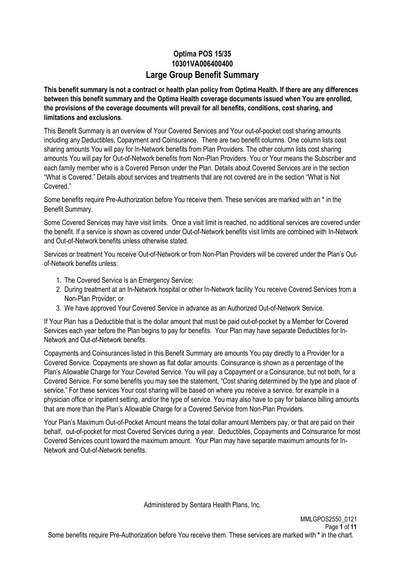## **Optima POS 15/35 10301VA006400400 Large Group Benefit Summary**

**This benefit summary is not a contract or health plan policy from Optima Health. If there are any differences between this benefit summary and the Optima Health coverage documents issued when You are enrolled, the provisions of the coverage documents will prevail for all benefits, conditions, cost sharing, and limitations and exclusions**.

This Benefit Summary is an overview of Your Covered Services and Your out-of-pocket cost sharing amounts including any Deductibles, Copayment and Coinsurance. There are two benefit columns. One column lists cost sharing amounts You will pay for In-Network benefits from Plan Providers. The other column lists cost sharing amounts You will pay for Out-of-Network benefits from Non-Plan Providers. You or Your means the Subscriber and each family member who is a Covered Person under the Plan. Details about Covered Services are in the section "What is Covered." Details about services and treatments that are not covered are in the section "What is Not Covered."

Some benefits require Pre-Authorization before You receive them. These services are marked with an \* in the Benefit Summary.

Some Covered Services may have visit limits. Once a visit limit is reached, no additional services are covered under the benefit. If a service is shown as covered under Out-of-Network benefits visit limits are combined with In-Network and Out-of-Network benefits unless otherwise stated.

Services or treatment You receive Out-of-Network or from Non-Plan Providers will be covered under the Plan's Outof-Network benefits unless:

- 1. The Covered Service is an Emergency Service;
- 2. During treatment at an In-Network hospital or other In-Network facility You receive Covered Services from a Non-Plan Provider; or
- 3. We have approved Your Covered Service in advance as an Authorized Out-of-Network Service.

If Your Plan has a Deductible that is the dollar amount that must be paid out-of-pocket by a Member for Covered Services each year before the Plan begins to pay for benefits. Your Plan may have separate Deductibles for In-Network and Out-of-Network benefits.

Copayments and Coinsurances listed in this Benefit Summary are amounts You pay directly to a Provider for a Covered Service. Copayments are shown as flat dollar amounts. Coinsurance is shown as a percentage of the Plan's Allowable Charge for Your Covered Service. You will pay a Copayment or a Coinsurance, but not both, for a Covered Service. For some benefits you may see the statement, "Cost sharing determined by the type and place of service." For these services Your cost sharing will be based on where you receive a service, for example in a physician office or inpatient setting, and/or the type of service. You may also have to pay for balance billing amounts that are more than the Plan's Allowable Charge for a Covered Service from Non-Plan Providers.

Your Plan's Maximum Out-of-Pocket Amount means the total dollar amount Members pay, or that are paid on their behalf, out-of-pocket for most Covered Services during a year. Deductibles, Copayments and Coinsurance for most Covered Services count toward the maximum amount. Your Plan may have separate maximum amounts for In-Network and Out-of-Network benefits.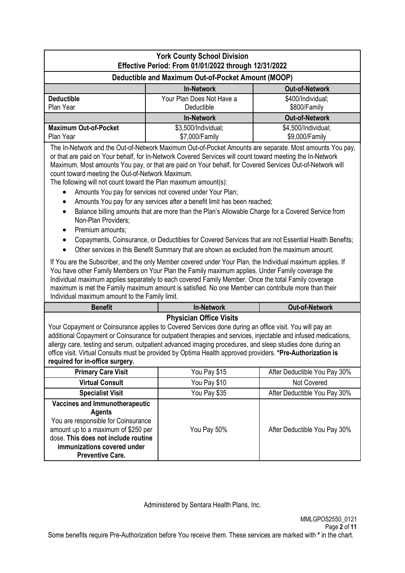| <b>York County School Division</b><br>Effective Period: From 01/01/2022 through 12/31/2022 |                                                    |                                       |  |  |  |
|--------------------------------------------------------------------------------------------|----------------------------------------------------|---------------------------------------|--|--|--|
|                                                                                            | Deductible and Maximum Out-of-Pocket Amount (MOOP) |                                       |  |  |  |
| <b>Out-of-Network</b><br><b>In-Network</b>                                                 |                                                    |                                       |  |  |  |
| <b>Deductible</b><br>Plan Year                                                             | \$400/Individual;<br>\$800/Family                  |                                       |  |  |  |
| <b>Out-of-Network</b><br><b>In-Network</b>                                                 |                                                    |                                       |  |  |  |
| <b>Maximum Out-of-Pocket</b><br>Plan Year                                                  | \$3,500/Individual;<br>\$7,000/Family              | \$4,500/Individual;<br>\$9,000/Family |  |  |  |

The In-Network and the Out-of-Network Maximum Out-of-Pocket Amounts are separate. Most amounts You pay, or that are paid on Your behalf, for In-Network Covered Services will count toward meeting the In-Network Maximum. Most amounts You pay, or that are paid on Your behalf, for Covered Services Out-of-Network will count toward meeting the Out-of-Network Maximum.

The following will not count toward the Plan maximum amount(s):

- Amounts You pay for services not covered under Your Plan;
- Amounts You pay for any services after a benefit limit has been reached;
- Balance billing amounts that are more than the Plan's Allowable Charge for a Covered Service from Non-Plan Providers;
- Premium amounts:
- Copayments, Coinsurance, or Deductibles for Covered Services that are not Essential Health Benefits;
- Other services in this Benefit Summary that are shown as excluded from the maximum amount.

If You are the Subscriber, and the only Member covered under Your Plan, the Individual maximum applies. If You have other Family Members on Your Plan the Family maximum applies. Under Family coverage the Individual maximum applies separately to each covered Family Member. Once the total Family coverage maximum is met the Family maximum amount is satisfied. No one Member can contribute more than their Individual maximum amount to the Family limit.

| <b>Benefit</b>                                                                                                                                                                                                                                       | <b>In-Network</b>              | <b>Out-of-Network</b>        |  |  |
|------------------------------------------------------------------------------------------------------------------------------------------------------------------------------------------------------------------------------------------------------|--------------------------------|------------------------------|--|--|
|                                                                                                                                                                                                                                                      | <b>Physician Office Visits</b> |                              |  |  |
| Your Copayment or Coinsurance applies to Covered Services done during an office visit. You will pay an                                                                                                                                               |                                |                              |  |  |
| additional Copayment or Coinsurance for outpatient therapies and services, injectable and infused medications,<br>allergy care, testing and serum, outpatient advanced imaging procedures, and sleep studies done during an                          |                                |                              |  |  |
| office visit. Virtual Consults must be provided by Optima Health approved providers. *Pre-Authorization is                                                                                                                                           |                                |                              |  |  |
| required for in-office surgery.                                                                                                                                                                                                                      |                                |                              |  |  |
| <b>Primary Care Visit</b>                                                                                                                                                                                                                            | You Pay \$15                   | After Deductible You Pay 30% |  |  |
| <b>Virtual Consult</b><br>You Pay \$10<br><b>Not Covered</b>                                                                                                                                                                                         |                                |                              |  |  |
| <b>Specialist Visit</b><br>You Pay \$35<br>After Deductible You Pay 30%                                                                                                                                                                              |                                |                              |  |  |
| <b>Vaccines and Immunotherapeutic</b><br><b>Agents</b><br>You are responsible for Coinsurance<br>amount up to a maximum of \$250 per<br>You Pay 50%<br>dose. This does not include routine<br>immunizations covered under<br><b>Preventive Care.</b> |                                | After Deductible You Pay 30% |  |  |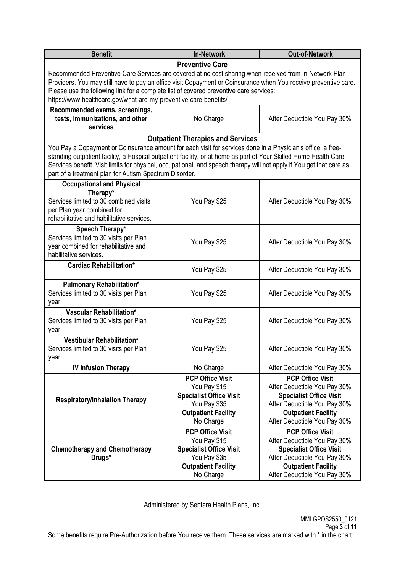| <b>Benefit</b>                                                                                                                                                                                            | <b>In-Network</b>                                                                                      | <b>Out-of-Network</b>                                   |  |  |                                  |  |
|-----------------------------------------------------------------------------------------------------------------------------------------------------------------------------------------------------------|--------------------------------------------------------------------------------------------------------|---------------------------------------------------------|--|--|----------------------------------|--|
|                                                                                                                                                                                                           | <b>Preventive Care</b>                                                                                 |                                                         |  |  |                                  |  |
|                                                                                                                                                                                                           | Recommended Preventive Care Services are covered at no cost sharing when received from In-Network Plan |                                                         |  |  |                                  |  |
| Providers. You may still have to pay an office visit Copayment or Coinsurance when You receive preventive care.<br>Please use the following link for a complete list of covered preventive care services: |                                                                                                        |                                                         |  |  |                                  |  |
| https://www.healthcare.gov/what-are-my-preventive-care-benefits/                                                                                                                                          |                                                                                                        |                                                         |  |  |                                  |  |
| Recommended exams, screenings,                                                                                                                                                                            |                                                                                                        |                                                         |  |  |                                  |  |
| tests, immunizations, and other                                                                                                                                                                           | No Charge                                                                                              | After Deductible You Pay 30%                            |  |  |                                  |  |
| services                                                                                                                                                                                                  |                                                                                                        |                                                         |  |  |                                  |  |
|                                                                                                                                                                                                           | <b>Outpatient Therapies and Services</b>                                                               |                                                         |  |  |                                  |  |
| You Pay a Copayment or Coinsurance amount for each visit for services done in a Physician's office, a free-                                                                                               |                                                                                                        |                                                         |  |  |                                  |  |
| standing outpatient facility, a Hospital outpatient facility, or at home as part of Your Skilled Home Health Care                                                                                         |                                                                                                        |                                                         |  |  |                                  |  |
| Services benefit. Visit limits for physical, occupational, and speech therapy will not apply if You get that care as<br>part of a treatment plan for Autism Spectrum Disorder.                            |                                                                                                        |                                                         |  |  |                                  |  |
| <b>Occupational and Physical</b>                                                                                                                                                                          |                                                                                                        |                                                         |  |  |                                  |  |
| Therapy*                                                                                                                                                                                                  |                                                                                                        |                                                         |  |  |                                  |  |
| Services limited to 30 combined visits                                                                                                                                                                    | You Pay \$25                                                                                           | After Deductible You Pay 30%                            |  |  |                                  |  |
| per Plan year combined for                                                                                                                                                                                |                                                                                                        |                                                         |  |  |                                  |  |
| rehabilitative and habilitative services.                                                                                                                                                                 |                                                                                                        |                                                         |  |  |                                  |  |
| Speech Therapy*                                                                                                                                                                                           |                                                                                                        |                                                         |  |  |                                  |  |
| Services limited to 30 visits per Plan<br>You Pay \$25<br>After Deductible You Pay 30%<br>year combined for rehabilitative and                                                                            |                                                                                                        |                                                         |  |  |                                  |  |
| habilitative services.                                                                                                                                                                                    |                                                                                                        |                                                         |  |  |                                  |  |
| <b>Cardiac Rehabilitation*</b><br>You Pay \$25<br>After Deductible You Pay 30%                                                                                                                            |                                                                                                        |                                                         |  |  |                                  |  |
|                                                                                                                                                                                                           |                                                                                                        |                                                         |  |  | <b>Pulmonary Rehabilitation*</b> |  |
| Services limited to 30 visits per Plan<br>You Pay \$25                                                                                                                                                    |                                                                                                        | After Deductible You Pay 30%                            |  |  |                                  |  |
| year.<br>Vascular Rehabilitation*                                                                                                                                                                         |                                                                                                        |                                                         |  |  |                                  |  |
| Services limited to 30 visits per Plan                                                                                                                                                                    | You Pay \$25                                                                                           | After Deductible You Pay 30%                            |  |  |                                  |  |
| year.                                                                                                                                                                                                     |                                                                                                        |                                                         |  |  |                                  |  |
| Vestibular Rehabilitation*                                                                                                                                                                                |                                                                                                        |                                                         |  |  |                                  |  |
| Services limited to 30 visits per Plan                                                                                                                                                                    | You Pay \$25                                                                                           | After Deductible You Pay 30%                            |  |  |                                  |  |
| year.                                                                                                                                                                                                     |                                                                                                        |                                                         |  |  |                                  |  |
|                                                                                                                                                                                                           | <b>IV Infusion Therapy</b><br>No Charge<br>After Deductible You Pay 30%                                |                                                         |  |  |                                  |  |
|                                                                                                                                                                                                           | <b>PCP Office Visit</b><br>You Pay \$15                                                                | <b>PCP Office Visit</b><br>After Deductible You Pay 30% |  |  |                                  |  |
|                                                                                                                                                                                                           | <b>Specialist Office Visit</b>                                                                         | <b>Specialist Office Visit</b>                          |  |  |                                  |  |
| <b>Respiratory/Inhalation Therapy</b>                                                                                                                                                                     | You Pay \$35                                                                                           | After Deductible You Pay 30%                            |  |  |                                  |  |
|                                                                                                                                                                                                           | <b>Outpatient Facility</b>                                                                             | <b>Outpatient Facility</b>                              |  |  |                                  |  |
|                                                                                                                                                                                                           | After Deductible You Pay 30%<br>No Charge                                                              |                                                         |  |  |                                  |  |
|                                                                                                                                                                                                           | <b>PCP Office Visit</b><br>You Pay \$15                                                                | <b>PCP Office Visit</b>                                 |  |  |                                  |  |
| <b>Chemotherapy and Chemotherapy</b>                                                                                                                                                                      | After Deductible You Pay 30%<br><b>Specialist Office Visit</b>                                         |                                                         |  |  |                                  |  |
| Drugs*                                                                                                                                                                                                    | <b>Specialist Office Visit</b><br>You Pay \$35                                                         | After Deductible You Pay 30%                            |  |  |                                  |  |
|                                                                                                                                                                                                           | <b>Outpatient Facility</b>                                                                             | <b>Outpatient Facility</b>                              |  |  |                                  |  |
| No Charge<br>After Deductible You Pay 30%                                                                                                                                                                 |                                                                                                        |                                                         |  |  |                                  |  |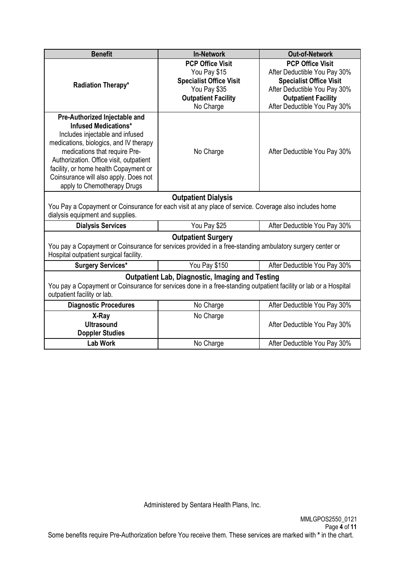| <b>Benefit</b>                                                                                                   | <b>In-Network</b>                                      | <b>Out-of-Network</b>                                   |  |  |  |
|------------------------------------------------------------------------------------------------------------------|--------------------------------------------------------|---------------------------------------------------------|--|--|--|
|                                                                                                                  | <b>PCP Office Visit</b><br>You Pay \$15                | <b>PCP Office Visit</b><br>After Deductible You Pay 30% |  |  |  |
|                                                                                                                  | <b>Specialist Office Visit</b>                         | <b>Specialist Office Visit</b>                          |  |  |  |
| Radiation Therapy*                                                                                               | You Pay \$35                                           | After Deductible You Pay 30%                            |  |  |  |
|                                                                                                                  | <b>Outpatient Facility</b>                             | <b>Outpatient Facility</b>                              |  |  |  |
|                                                                                                                  | No Charge                                              | After Deductible You Pay 30%                            |  |  |  |
| Pre-Authorized Injectable and                                                                                    |                                                        |                                                         |  |  |  |
| <b>Infused Medications*</b>                                                                                      |                                                        |                                                         |  |  |  |
| Includes injectable and infused                                                                                  |                                                        |                                                         |  |  |  |
| medications, biologics, and IV therapy                                                                           |                                                        |                                                         |  |  |  |
| medications that require Pre-                                                                                    | No Charge                                              | After Deductible You Pay 30%                            |  |  |  |
| Authorization. Office visit, outpatient                                                                          |                                                        |                                                         |  |  |  |
| facility, or home health Copayment or                                                                            |                                                        |                                                         |  |  |  |
| Coinsurance will also apply. Does not                                                                            |                                                        |                                                         |  |  |  |
| apply to Chemotherapy Drugs                                                                                      |                                                        |                                                         |  |  |  |
| <b>Outpatient Dialysis</b>                                                                                       |                                                        |                                                         |  |  |  |
| You Pay a Copayment or Coinsurance for each visit at any place of service. Coverage also includes home           |                                                        |                                                         |  |  |  |
| dialysis equipment and supplies.                                                                                 |                                                        |                                                         |  |  |  |
| <b>Dialysis Services</b>                                                                                         | You Pay \$25                                           | After Deductible You Pay 30%                            |  |  |  |
| <b>Outpatient Surgery</b>                                                                                        |                                                        |                                                         |  |  |  |
| You pay a Copayment or Coinsurance for services provided in a free-standing ambulatory surgery center or         |                                                        |                                                         |  |  |  |
| Hospital outpatient surgical facility.                                                                           |                                                        |                                                         |  |  |  |
| <b>Surgery Services*</b>                                                                                         | You Pay \$150                                          | After Deductible You Pay 30%                            |  |  |  |
|                                                                                                                  | <b>Outpatient Lab, Diagnostic, Imaging and Testing</b> |                                                         |  |  |  |
| You pay a Copayment or Coinsurance for services done in a free-standing outpatient facility or lab or a Hospital |                                                        |                                                         |  |  |  |
| outpatient facility or lab.                                                                                      |                                                        |                                                         |  |  |  |
| <b>Diagnostic Procedures</b>                                                                                     | No Charge                                              | After Deductible You Pay 30%                            |  |  |  |
| X-Ray                                                                                                            | No Charge                                              |                                                         |  |  |  |
| <b>Ultrasound</b>                                                                                                |                                                        | After Deductible You Pay 30%                            |  |  |  |
| <b>Doppler Studies</b>                                                                                           |                                                        |                                                         |  |  |  |
| <b>Lab Work</b>                                                                                                  | No Charge                                              | After Deductible You Pay 30%                            |  |  |  |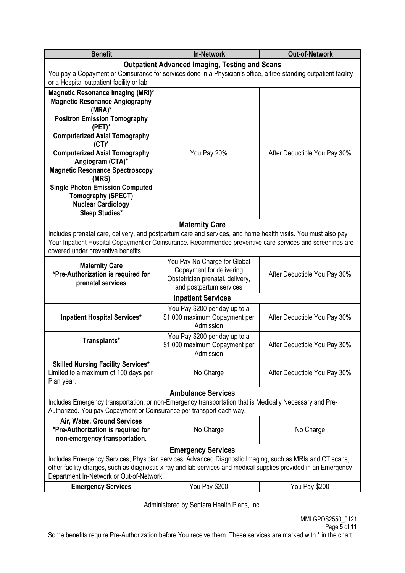| <b>Benefit</b>                                                                                                                                                                                                                                                          | <b>In-Network</b>                                                           | <b>Out-of-Network</b>        |  |  |  |
|-------------------------------------------------------------------------------------------------------------------------------------------------------------------------------------------------------------------------------------------------------------------------|-----------------------------------------------------------------------------|------------------------------|--|--|--|
|                                                                                                                                                                                                                                                                         | <b>Outpatient Advanced Imaging, Testing and Scans</b>                       |                              |  |  |  |
| You pay a Copayment or Coinsurance for services done in a Physician's office, a free-standing outpatient facility                                                                                                                                                       |                                                                             |                              |  |  |  |
| or a Hospital outpatient facility or lab.                                                                                                                                                                                                                               |                                                                             |                              |  |  |  |
| Magnetic Resonance Imaging (MRI)*<br><b>Magnetic Resonance Angiography</b><br>$(MRA)^*$                                                                                                                                                                                 |                                                                             |                              |  |  |  |
| <b>Positron Emission Tomography</b><br>$(PET)^*$                                                                                                                                                                                                                        |                                                                             |                              |  |  |  |
| <b>Computerized Axial Tomography</b><br>$(CT)^*$                                                                                                                                                                                                                        |                                                                             |                              |  |  |  |
| <b>Computerized Axial Tomography</b><br>Angiogram (CTA)*                                                                                                                                                                                                                | You Pay 20%                                                                 | After Deductible You Pay 30% |  |  |  |
| <b>Magnetic Resonance Spectroscopy</b><br>(MRS)                                                                                                                                                                                                                         |                                                                             |                              |  |  |  |
| <b>Single Photon Emission Computed</b><br><b>Tomography (SPECT)</b><br><b>Nuclear Cardiology</b><br><b>Sleep Studies*</b>                                                                                                                                               |                                                                             |                              |  |  |  |
|                                                                                                                                                                                                                                                                         | <b>Maternity Care</b>                                                       |                              |  |  |  |
| Includes prenatal care, delivery, and postpartum care and services, and home health visits. You must also pay<br>Your Inpatient Hospital Copayment or Coinsurance. Recommended preventive care services and screenings are<br>covered under preventive benefits.        |                                                                             |                              |  |  |  |
| You Pay No Charge for Global<br><b>Maternity Care</b><br>Copayment for delivering<br>*Pre-Authorization is required for<br>Obstetrician prenatal, delivery,<br>prenatal services<br>and postpartum services                                                             |                                                                             | After Deductible You Pay 30% |  |  |  |
| <b>Inpatient Services</b>                                                                                                                                                                                                                                               |                                                                             |                              |  |  |  |
|                                                                                                                                                                                                                                                                         | You Pay \$200 per day up to a                                               |                              |  |  |  |
| \$1,000 maximum Copayment per<br><b>Inpatient Hospital Services*</b><br>Admission                                                                                                                                                                                       |                                                                             | After Deductible You Pay 30% |  |  |  |
| Transplants*                                                                                                                                                                                                                                                            | You Pay \$200 per day up to a<br>\$1,000 maximum Copayment per<br>Admission |                              |  |  |  |
| <b>Skilled Nursing Facility Services*</b><br>Limited to a maximum of 100 days per<br>Plan year.                                                                                                                                                                         | No Charge                                                                   | After Deductible You Pay 30% |  |  |  |
|                                                                                                                                                                                                                                                                         | <b>Ambulance Services</b>                                                   |                              |  |  |  |
| Includes Emergency transportation, or non-Emergency transportation that is Medically Necessary and Pre-<br>Authorized. You pay Copayment or Coinsurance per transport each way.                                                                                         |                                                                             |                              |  |  |  |
| Air, Water, Ground Services<br>*Pre-Authorization is required for<br>non-emergency transportation.                                                                                                                                                                      | No Charge                                                                   | No Charge                    |  |  |  |
| <b>Emergency Services</b>                                                                                                                                                                                                                                               |                                                                             |                              |  |  |  |
| Includes Emergency Services, Physician services, Advanced Diagnostic Imaging, such as MRIs and CT scans,<br>other facility charges, such as diagnostic x-ray and lab services and medical supplies provided in an Emergency<br>Department In-Network or Out-of-Network. |                                                                             |                              |  |  |  |
| <b>Emergency Services</b>                                                                                                                                                                                                                                               | You Pay \$200                                                               | You Pay \$200                |  |  |  |
|                                                                                                                                                                                                                                                                         |                                                                             |                              |  |  |  |

Some benefits require Pre-Authorization before You receive them. These services are marked with **\*** in the chart.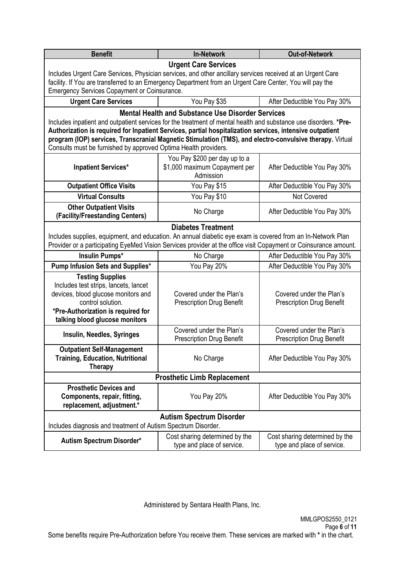| <b>Benefit</b>                                                                                                                                                                                                         | <b>In-Network</b>                                            | <b>Out-of-Network</b>                                        |  |  |  |  |  |
|------------------------------------------------------------------------------------------------------------------------------------------------------------------------------------------------------------------------|--------------------------------------------------------------|--------------------------------------------------------------|--|--|--|--|--|
| <b>Urgent Care Services</b>                                                                                                                                                                                            |                                                              |                                                              |  |  |  |  |  |
| Includes Urgent Care Services, Physician services, and other ancillary services received at an Urgent Care<br>facility. If You are transferred to an Emergency Department from an Urgent Care Center, You will pay the |                                                              |                                                              |  |  |  |  |  |
| Emergency Services Copayment or Coinsurance.                                                                                                                                                                           |                                                              |                                                              |  |  |  |  |  |
| <b>Urgent Care Services</b>                                                                                                                                                                                            | You Pay \$35<br>After Deductible You Pay 30%                 |                                                              |  |  |  |  |  |
|                                                                                                                                                                                                                        | <b>Mental Health and Substance Use Disorder Services</b>     |                                                              |  |  |  |  |  |
| Includes inpatient and outpatient services for the treatment of mental health and substance use disorders. *Pre-                                                                                                       |                                                              |                                                              |  |  |  |  |  |
| Authorization is required for Inpatient Services, partial hospitalization services, intensive outpatient<br>program (IOP) services, Transcranial Magnetic Stimulation (TMS), and electro-convulsive therapy. Virtual   |                                                              |                                                              |  |  |  |  |  |
| Consults must be furnished by approved Optima Health providers.                                                                                                                                                        |                                                              |                                                              |  |  |  |  |  |
|                                                                                                                                                                                                                        | You Pay \$200 per day up to a                                |                                                              |  |  |  |  |  |
| <b>Inpatient Services*</b>                                                                                                                                                                                             | \$1,000 maximum Copayment per                                | After Deductible You Pay 30%                                 |  |  |  |  |  |
|                                                                                                                                                                                                                        | Admission                                                    |                                                              |  |  |  |  |  |
| <b>Outpatient Office Visits</b>                                                                                                                                                                                        | You Pay \$15                                                 | After Deductible You Pay 30%                                 |  |  |  |  |  |
| <b>Virtual Consults</b>                                                                                                                                                                                                | You Pay \$10                                                 | Not Covered                                                  |  |  |  |  |  |
| <b>Other Outpatient Visits</b>                                                                                                                                                                                         | After Deductible You Pay 30%                                 |                                                              |  |  |  |  |  |
| (Facility/Freestanding Centers)                                                                                                                                                                                        |                                                              |                                                              |  |  |  |  |  |
| Includes supplies, equipment, and education. An annual diabetic eye exam is covered from an In-Network Plan                                                                                                            | <b>Diabetes Treatment</b>                                    |                                                              |  |  |  |  |  |
| Provider or a participating EyeMed Vision Services provider at the office visit Copayment or Coinsurance amount.                                                                                                       |                                                              |                                                              |  |  |  |  |  |
| Insulin Pumps*                                                                                                                                                                                                         | No Charge                                                    | After Deductible You Pay 30%                                 |  |  |  |  |  |
| Pump Infusion Sets and Supplies*                                                                                                                                                                                       | You Pay 20%<br>After Deductible You Pay 30%                  |                                                              |  |  |  |  |  |
| <b>Testing Supplies</b>                                                                                                                                                                                                |                                                              |                                                              |  |  |  |  |  |
| Includes test strips, lancets, lancet                                                                                                                                                                                  | Covered under the Plan's                                     | Covered under the Plan's                                     |  |  |  |  |  |
| devices, blood glucose monitors and<br>control solution.                                                                                                                                                               | <b>Prescription Drug Benefit</b>                             | <b>Prescription Drug Benefit</b>                             |  |  |  |  |  |
| *Pre-Authorization is required for                                                                                                                                                                                     |                                                              |                                                              |  |  |  |  |  |
| talking blood glucose monitors                                                                                                                                                                                         |                                                              |                                                              |  |  |  |  |  |
| Insulin, Needles, Syringes                                                                                                                                                                                             | Covered under the Plan's                                     | Covered under the Plan's                                     |  |  |  |  |  |
|                                                                                                                                                                                                                        | <b>Prescription Drug Benefit</b>                             | <b>Prescription Drug Benefit</b>                             |  |  |  |  |  |
| <b>Outpatient Self-Management</b><br><b>Training, Education, Nutritional</b>                                                                                                                                           | No Charge                                                    | After Deductible You Pay 30%                                 |  |  |  |  |  |
| <b>Therapy</b>                                                                                                                                                                                                         |                                                              |                                                              |  |  |  |  |  |
| <b>Prosthetic Limb Replacement</b>                                                                                                                                                                                     |                                                              |                                                              |  |  |  |  |  |
| <b>Prosthetic Devices and</b>                                                                                                                                                                                          |                                                              |                                                              |  |  |  |  |  |
| Components, repair, fitting,                                                                                                                                                                                           | You Pay 20%                                                  | After Deductible You Pay 30%                                 |  |  |  |  |  |
|                                                                                                                                                                                                                        | replacement, adjustment.*                                    |                                                              |  |  |  |  |  |
| <b>Autism Spectrum Disorder</b>                                                                                                                                                                                        |                                                              |                                                              |  |  |  |  |  |
| Includes diagnosis and treatment of Autism Spectrum Disorder.                                                                                                                                                          |                                                              |                                                              |  |  |  |  |  |
| Autism Spectrum Disorder*                                                                                                                                                                                              | Cost sharing determined by the<br>type and place of service. | Cost sharing determined by the<br>type and place of service. |  |  |  |  |  |
|                                                                                                                                                                                                                        |                                                              |                                                              |  |  |  |  |  |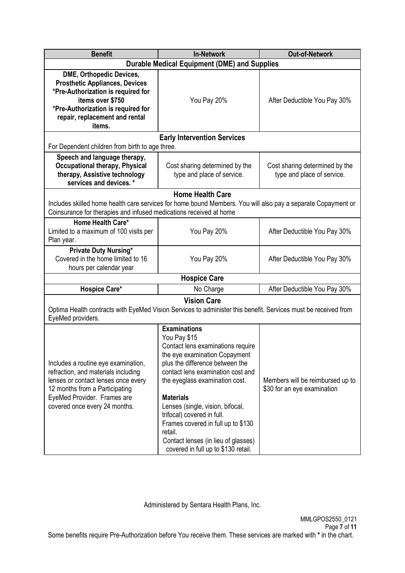| <b>Benefit</b>                                                                                                                                                                                                      | <b>Out-of-Network</b>                                                                                                                                                                                                                                                                                                                                                                                                                    |                                                                 |  |  |  |
|---------------------------------------------------------------------------------------------------------------------------------------------------------------------------------------------------------------------|------------------------------------------------------------------------------------------------------------------------------------------------------------------------------------------------------------------------------------------------------------------------------------------------------------------------------------------------------------------------------------------------------------------------------------------|-----------------------------------------------------------------|--|--|--|
|                                                                                                                                                                                                                     | <b>Durable Medical Equipment (DME) and Supplies</b>                                                                                                                                                                                                                                                                                                                                                                                      |                                                                 |  |  |  |
| DME, Orthopedic Devices,<br><b>Prosthetic Appliances, Devices</b><br>*Pre-Authorization is required for<br>items over \$750<br>*Pre-Authorization is required for<br>repair, replacement and rental<br>items.       | You Pay 20%                                                                                                                                                                                                                                                                                                                                                                                                                              | After Deductible You Pay 30%                                    |  |  |  |
|                                                                                                                                                                                                                     | <b>Early Intervention Services</b>                                                                                                                                                                                                                                                                                                                                                                                                       |                                                                 |  |  |  |
| For Dependent children from birth to age three.                                                                                                                                                                     |                                                                                                                                                                                                                                                                                                                                                                                                                                          |                                                                 |  |  |  |
| Speech and language therapy,<br><b>Occupational therapy, Physical</b><br>therapy, Assistive technology<br>services and devices. *                                                                                   | Cost sharing determined by the<br>type and place of service.                                                                                                                                                                                                                                                                                                                                                                             | Cost sharing determined by the<br>type and place of service.    |  |  |  |
|                                                                                                                                                                                                                     | <b>Home Health Care</b>                                                                                                                                                                                                                                                                                                                                                                                                                  |                                                                 |  |  |  |
| Includes skilled home health care services for home bound Members. You will also pay a separate Copayment or<br>Coinsurance for therapies and infused medications received at home                                  |                                                                                                                                                                                                                                                                                                                                                                                                                                          |                                                                 |  |  |  |
| Home Health Care*                                                                                                                                                                                                   |                                                                                                                                                                                                                                                                                                                                                                                                                                          |                                                                 |  |  |  |
| Limited to a maximum of 100 visits per<br>Plan year.                                                                                                                                                                | You Pay 20%                                                                                                                                                                                                                                                                                                                                                                                                                              | After Deductible You Pay 30%                                    |  |  |  |
| <b>Private Duty Nursing*</b><br>Covered in the home limited to 16<br>hours per calendar year                                                                                                                        | You Pay 20%                                                                                                                                                                                                                                                                                                                                                                                                                              | After Deductible You Pay 30%                                    |  |  |  |
|                                                                                                                                                                                                                     | <b>Hospice Care</b>                                                                                                                                                                                                                                                                                                                                                                                                                      |                                                                 |  |  |  |
| Hospice Care*                                                                                                                                                                                                       | No Charge                                                                                                                                                                                                                                                                                                                                                                                                                                | After Deductible You Pay 30%                                    |  |  |  |
|                                                                                                                                                                                                                     | <b>Vision Care</b>                                                                                                                                                                                                                                                                                                                                                                                                                       |                                                                 |  |  |  |
| Optima Health contracts with EyeMed Vision Services to administer this benefit. Services must be received from<br>EyeMed providers.                                                                                 |                                                                                                                                                                                                                                                                                                                                                                                                                                          |                                                                 |  |  |  |
| Includes a routine eye examination,<br>refraction, and materials including<br>lenses or contact lenses once every<br>12 months from a Participating<br>EyeMed Provider. Frames are<br>covered once every 24 months. | <b>Examinations</b><br>You Pay \$15<br>Contact lens examinations require<br>the eye examination Copayment<br>plus the difference between the<br>contact lens examination cost and<br>the eyeglass examination cost.<br><b>Materials</b><br>Lenses (single, vision, bifocal,<br>trifocal) covered in full.<br>Frames covered in full up to \$130<br>retail.<br>Contact lenses (in lieu of glasses)<br>covered in full up to \$130 retail. | Members will be reimbursed up to<br>\$30 for an eye examination |  |  |  |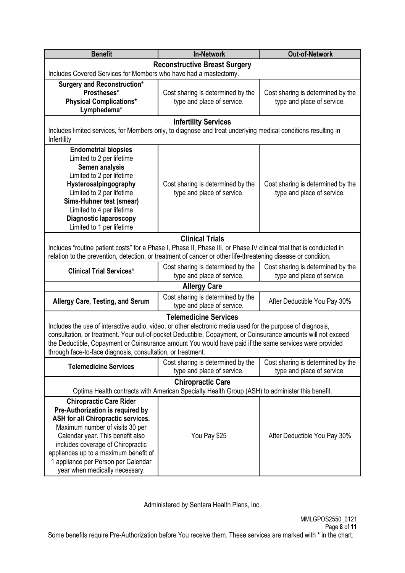| <b>Benefit</b>                                                                                                             | <b>Out-of-Network</b>                                           |                                                                 |  |  |  |
|----------------------------------------------------------------------------------------------------------------------------|-----------------------------------------------------------------|-----------------------------------------------------------------|--|--|--|
|                                                                                                                            | <b>Reconstructive Breast Surgery</b>                            |                                                                 |  |  |  |
| Includes Covered Services for Members who have had a mastectomy.                                                           |                                                                 |                                                                 |  |  |  |
| <b>Surgery and Reconstruction*</b>                                                                                         |                                                                 |                                                                 |  |  |  |
| Prostheses*                                                                                                                | Cost sharing is determined by the                               | Cost sharing is determined by the                               |  |  |  |
| <b>Physical Complications*</b><br>Lymphedema*                                                                              | type and place of service.                                      | type and place of service.                                      |  |  |  |
|                                                                                                                            | <b>Infertility Services</b>                                     |                                                                 |  |  |  |
| Includes limited services, for Members only, to diagnose and treat underlying medical conditions resulting in              |                                                                 |                                                                 |  |  |  |
| Infertility                                                                                                                |                                                                 |                                                                 |  |  |  |
| <b>Endometrial biopsies</b>                                                                                                |                                                                 |                                                                 |  |  |  |
| Limited to 2 per lifetime                                                                                                  |                                                                 |                                                                 |  |  |  |
| Semen analysis                                                                                                             |                                                                 |                                                                 |  |  |  |
| Limited to 2 per lifetime                                                                                                  |                                                                 |                                                                 |  |  |  |
| Hysterosalpingography                                                                                                      | Cost sharing is determined by the                               | Cost sharing is determined by the                               |  |  |  |
| Limited to 2 per lifetime                                                                                                  | type and place of service.                                      | type and place of service.                                      |  |  |  |
| Sims-Huhner test (smear)<br>Limited to 4 per lifetime                                                                      |                                                                 |                                                                 |  |  |  |
| <b>Diagnostic laparoscopy</b>                                                                                              |                                                                 |                                                                 |  |  |  |
| Limited to 1 per lifetime                                                                                                  |                                                                 |                                                                 |  |  |  |
|                                                                                                                            | <b>Clinical Trials</b>                                          |                                                                 |  |  |  |
| Includes "routine patient costs" for a Phase I, Phase II, Phase III, or Phase IV clinical trial that is conducted in       |                                                                 |                                                                 |  |  |  |
| relation to the prevention, detection, or treatment of cancer or other life-threatening disease or condition.              |                                                                 |                                                                 |  |  |  |
|                                                                                                                            | Cost sharing is determined by the                               | Cost sharing is determined by the                               |  |  |  |
| <b>Clinical Trial Services*</b>                                                                                            | type and place of service.                                      | type and place of service.                                      |  |  |  |
|                                                                                                                            | <b>Allergy Care</b>                                             |                                                                 |  |  |  |
| <b>Allergy Care, Testing, and Serum</b>                                                                                    | Cost sharing is determined by the                               | After Deductible You Pay 30%                                    |  |  |  |
|                                                                                                                            | type and place of service.                                      |                                                                 |  |  |  |
|                                                                                                                            | <b>Telemedicine Services</b>                                    |                                                                 |  |  |  |
| Includes the use of interactive audio, video, or other electronic media used for the purpose of diagnosis,                 |                                                                 |                                                                 |  |  |  |
| consultation, or treatment. Your out-of-pocket Deductible, Copayment, or Coinsurance amounts will not exceed               |                                                                 |                                                                 |  |  |  |
| the Deductible, Copayment or Coinsurance amount You would have paid if the same services were provided                     |                                                                 |                                                                 |  |  |  |
| through face-to-face diagnosis, consultation, or treatment.                                                                |                                                                 |                                                                 |  |  |  |
| <b>Telemedicine Services</b>                                                                                               | Cost sharing is determined by the<br>type and place of service. | Cost sharing is determined by the<br>type and place of service. |  |  |  |
|                                                                                                                            |                                                                 |                                                                 |  |  |  |
| <b>Chiropractic Care</b><br>Optima Health contracts with American Specialty Health Group (ASH) to administer this benefit. |                                                                 |                                                                 |  |  |  |
| <b>Chiropractic Care Rider</b>                                                                                             |                                                                 |                                                                 |  |  |  |
| Pre-Authorization is required by                                                                                           |                                                                 |                                                                 |  |  |  |
| ASH for all Chiropractic services.                                                                                         |                                                                 |                                                                 |  |  |  |
| Maximum number of visits 30 per                                                                                            |                                                                 |                                                                 |  |  |  |
| Calendar year. This benefit also                                                                                           | You Pay \$25                                                    | After Deductible You Pay 30%                                    |  |  |  |
| includes coverage of Chiropractic                                                                                          |                                                                 |                                                                 |  |  |  |
| appliances up to a maximum benefit of                                                                                      |                                                                 |                                                                 |  |  |  |
| 1 appliance per Person per Calendar                                                                                        |                                                                 |                                                                 |  |  |  |
| year when medically necessary.                                                                                             |                                                                 |                                                                 |  |  |  |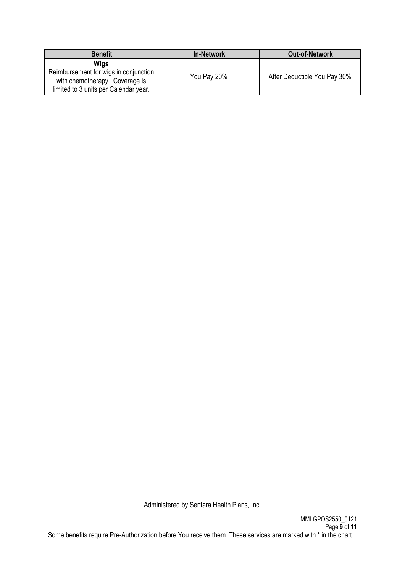| <b>Benefit</b>                                                                                                                  | <b>In-Network</b> | <b>Out-of-Network</b>        |
|---------------------------------------------------------------------------------------------------------------------------------|-------------------|------------------------------|
| <b>Wigs</b><br>Reimbursement for wigs in conjunction<br>with chemotherapy. Coverage is<br>limited to 3 units per Calendar year. | You Pay 20%       | After Deductible You Pay 30% |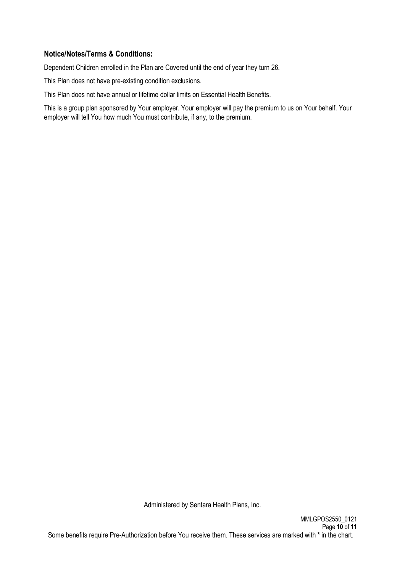### **Notice/Notes/Terms & Conditions:**

Dependent Children enrolled in the Plan are Covered until the end of year they turn 26.

This Plan does not have pre-existing condition exclusions.

This Plan does not have annual or lifetime dollar limits on Essential Health Benefits.

This is a group plan sponsored by Your employer. Your employer will pay the premium to us on Your behalf. Your employer will tell You how much You must contribute, if any, to the premium.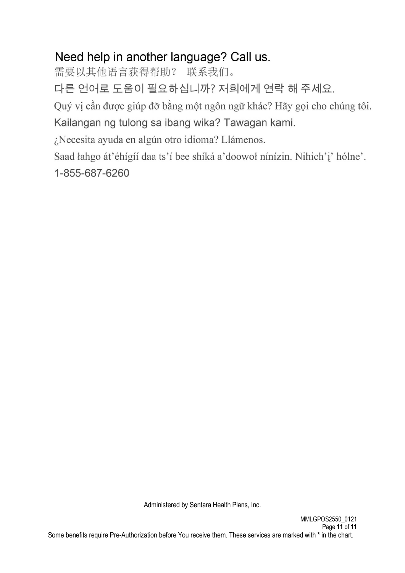# Need help in another language? Call us.

需要以其他语言获得帮助? 联系我们。

다른 언어로 도움이 필요하십니까? 저희에게 연락 해 주세요.

Quý vị cần được giúp đỡ bằng một ngôn ngữ khác? Hãy gọi cho chúng tôi.

Kailangan ng tulong sa ibang wika? Tawagan kami.

¿Necesita ayuda en algún otro idioma? Llámenos.

Saad łahgo át'éhígíí daa ts'í bee shíká a'doowoł nínízin. Nihich'i' hólne'.

1-855-687-6260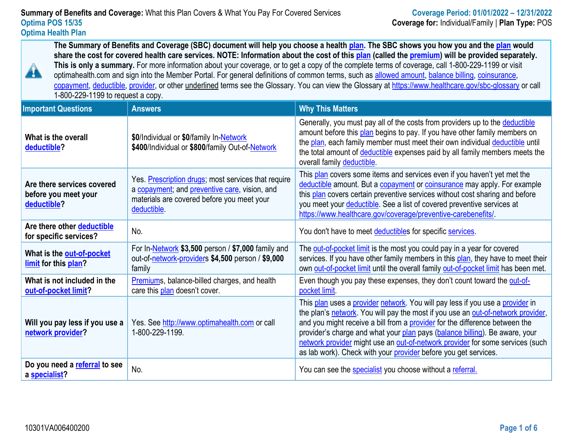**The Summary of Benefits and Coverage (SBC) document will help you choose a health [plan.](https://www.healthcare.gov/sbc-glossary/#plan) The SBC shows you how you and the [plan](https://www.healthcare.gov/sbc-glossary/#plan) would share the cost for covered health care services. NOTE: Information about the cost of this [plan](https://www.healthcare.gov/sbc-glossary/#plan) (called the [premium\)](https://www.healthcare.gov/sbc-glossary/#premium) will be provided separately. This is only a summary.** For more information about your coverage, or to get a copy of the complete terms of coverage, call 1-800-229-1199 or visit optimahealth.com and sign into the Member Portal. For general definitions of common terms, such as [allowed amount,](https://www.healthcare.gov/sbc-glossary/#allowed-amount) [balance billing,](https://www.healthcare.gov/sbc-glossary/#balance-billing) coinsurance, [copayment,](https://www.healthcare.gov/sbc-glossary/#copayment) [deductible,](https://www.healthcare.gov/sbc-glossary/#deductible) [provider,](https://www.healthcare.gov/sbc-glossary/#provider) or other underlined terms see the Glossary. You can view the Glossary at [https://www.healthcare.gov/sbc-glossary](http://www.healthcare.gov/sbc-glossary%20or%20call) or call 1-800-229-1199 to request a copy.

| <b>Important Questions</b>                                        | <b>Answers</b>                                                                                                                                                    | <b>Why This Matters</b>                                                                                                                                                                                                                                                                                                                                                                                                                                                             |
|-------------------------------------------------------------------|-------------------------------------------------------------------------------------------------------------------------------------------------------------------|-------------------------------------------------------------------------------------------------------------------------------------------------------------------------------------------------------------------------------------------------------------------------------------------------------------------------------------------------------------------------------------------------------------------------------------------------------------------------------------|
| What is the overall<br>deductible?                                | \$0/Individual or \$0/family In-Network<br>\$400/Individual or \$800/family Out-of-Network                                                                        | Generally, you must pay all of the costs from providers up to the deductible<br>amount before this plan begins to pay. If you have other family members on<br>the plan, each family member must meet their own individual deductible until<br>the total amount of deductible expenses paid by all family members meets the<br>overall family deductible.                                                                                                                            |
| Are there services covered<br>before you meet your<br>deductible? | Yes. Prescription drugs; most services that require<br>a copayment; and preventive care, vision, and<br>materials are covered before you meet your<br>deductible. | This plan covers some items and services even if you haven't yet met the<br>deductible amount. But a copayment or coinsurance may apply. For example<br>this plan covers certain preventive services without cost sharing and before<br>you meet your deductible. See a list of covered preventive services at<br>https://www.healthcare.gov/coverage/preventive-carebenefits/                                                                                                      |
| Are there other deductible<br>for specific services?              | No.                                                                                                                                                               | You don't have to meet deductibles for specific services.                                                                                                                                                                                                                                                                                                                                                                                                                           |
| What is the out-of-pocket<br>limit for this plan?                 | For In-Network \$3,500 person / \$7,000 family and<br>out-of-network-providers \$4,500 person / \$9,000<br>family                                                 | The out-of-pocket limit is the most you could pay in a year for covered<br>services. If you have other family members in this plan, they have to meet their<br>own out-of-pocket limit until the overall family out-of-pocket limit has been met.                                                                                                                                                                                                                                   |
| What is not included in the<br>out-of-pocket limit?               | <b>Premiums</b> , balance-billed charges, and health<br>care this plan doesn't cover.                                                                             | Even though you pay these expenses, they don't count toward the out-of-<br>pocket limit.                                                                                                                                                                                                                                                                                                                                                                                            |
| Will you pay less if you use a<br>network provider?               | Yes. See http://www.optimahealth.com or call<br>1-800-229-1199.                                                                                                   | This plan uses a provider network. You will pay less if you use a provider in<br>the plan's network. You will pay the most if you use an out-of-network provider,<br>and you might receive a bill from a provider for the difference between the<br>provider's charge and what your plan pays (balance billing). Be aware, your<br>network provider might use an out-of-network provider for some services (such<br>as lab work). Check with your provider before you get services. |
| Do you need a referral to see<br>a specialist?                    | No.                                                                                                                                                               | You can see the specialist you choose without a referral.                                                                                                                                                                                                                                                                                                                                                                                                                           |

A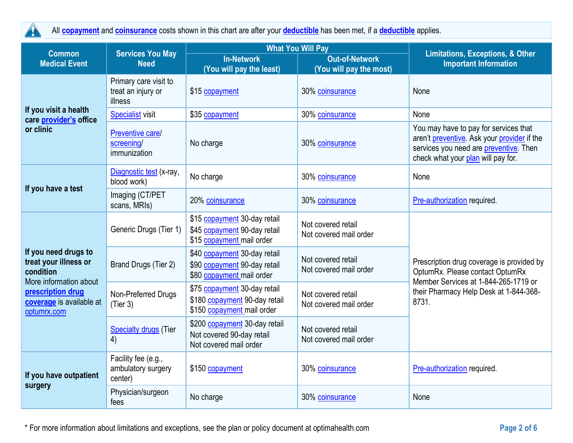$\blacktriangle$ 

All **[copayment](https://www.healthcare.gov/sbc-glossary/#copayment)** and **[coinsurance](https://www.healthcare.gov/sbc-glossary/#coinsurance)** costs shown in this chart are after your **[deductible](https://www.healthcare.gov/sbc-glossary/#deductible)** has been met, if a **[deductible](https://www.healthcare.gov/sbc-glossary/#deductible)** applies.

|                                                                                                                                                      | <b>What You Will Pay</b><br><b>Services You May</b><br><b>Common</b> |                                                                                             |                                                  | <b>Limitations, Exceptions, &amp; Other</b>                                                                                                                             |
|------------------------------------------------------------------------------------------------------------------------------------------------------|----------------------------------------------------------------------|---------------------------------------------------------------------------------------------|--------------------------------------------------|-------------------------------------------------------------------------------------------------------------------------------------------------------------------------|
| <b>Medical Event</b>                                                                                                                                 | <b>Need</b>                                                          | <b>In-Network</b><br>(You will pay the least)                                               | <b>Out-of-Network</b><br>(You will pay the most) | <b>Important Information</b>                                                                                                                                            |
|                                                                                                                                                      | Primary care visit to<br>treat an injury or<br>illness               | \$15 copayment                                                                              | 30% coinsurance                                  | None                                                                                                                                                                    |
| If you visit a health<br>care provider's office                                                                                                      | <b>Specialist</b> visit                                              | \$35 copayment                                                                              | 30% coinsurance                                  | None                                                                                                                                                                    |
| or clinic                                                                                                                                            | Preventive care/<br>screening/<br>immunization                       | No charge                                                                                   | 30% coinsurance                                  | You may have to pay for services that<br>aren't preventive. Ask your provider if the<br>services you need are preventive. Then<br>check what your plan will pay for.    |
|                                                                                                                                                      | Diagnostic test (x-ray,<br>blood work)                               | No charge                                                                                   | 30% coinsurance                                  | None                                                                                                                                                                    |
| If you have a test                                                                                                                                   | Imaging (CT/PET<br>scans, MRIs)                                      | 20% coinsurance                                                                             | 30% coinsurance                                  | Pre-authorization required.                                                                                                                                             |
| If you need drugs to<br>treat your illness or<br>condition<br>More information about<br>prescription drug<br>coverage is available at<br>optumrx.com | Generic Drugs (Tier 1)                                               | \$15 copayment 30-day retail<br>\$45 copayment 90-day retail<br>\$15 copayment mail order   | Not covered retail<br>Not covered mail order     | Prescription drug coverage is provided by<br>OptumRx. Please contact OptumRx<br>Member Services at 1-844-265-1719 or<br>their Pharmacy Help Desk at 1-844-368-<br>8731. |
|                                                                                                                                                      | Brand Drugs (Tier 2)                                                 | \$40 copayment 30-day retail<br>\$90 copayment 90-day retail<br>\$80 copayment mail order   | Not covered retail<br>Not covered mail order     |                                                                                                                                                                         |
|                                                                                                                                                      | Non-Preferred Drugs<br>(Tier 3)                                      | \$75 copayment 30-day retail<br>\$180 copayment 90-day retail<br>\$150 copayment mail order | Not covered retail<br>Not covered mail order     |                                                                                                                                                                         |
|                                                                                                                                                      | <b>Specialty drugs</b> (Tier<br>4)                                   | \$200 copayment 30-day retail<br>Not covered 90-day retail<br>Not covered mail order        | Not covered retail<br>Not covered mail order     |                                                                                                                                                                         |
| If you have outpatient<br>surgery                                                                                                                    | Facility fee (e.g.,<br>ambulatory surgery<br>center)                 | \$150 copayment                                                                             | 30% coinsurance                                  | Pre-authorization required.                                                                                                                                             |
|                                                                                                                                                      | Physician/surgeon<br>fees                                            | No charge                                                                                   | 30% coinsurance                                  | None                                                                                                                                                                    |

\* For more information about limitations and exceptions, see the plan or policy document at optimahealth.com **Page 2 of 6**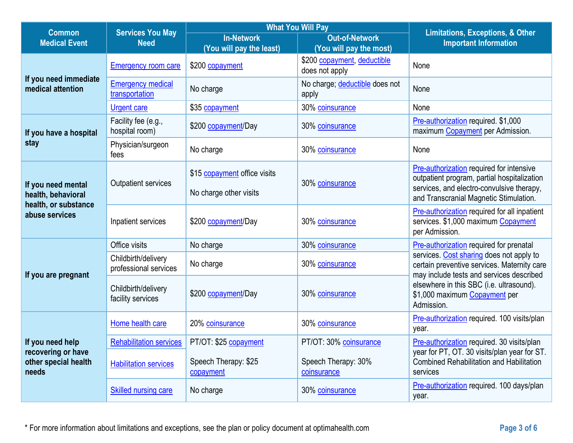| <b>What You Will Pay</b><br><b>Services You May</b><br><b>Common</b>    |                                              | <b>Limitations, Exceptions, &amp; Other</b>            |                                                  |                                                                                                                                                                                |
|-------------------------------------------------------------------------|----------------------------------------------|--------------------------------------------------------|--------------------------------------------------|--------------------------------------------------------------------------------------------------------------------------------------------------------------------------------|
| <b>Medical Event</b>                                                    | <b>Need</b>                                  | <b>In-Network</b><br>(You will pay the least)          | <b>Out-of-Network</b><br>(You will pay the most) | <b>Important Information</b>                                                                                                                                                   |
|                                                                         | <b>Emergency room care</b>                   | \$200 copayment                                        | \$200 copayment, deductible<br>does not apply    | None                                                                                                                                                                           |
| If you need immediate<br>medical attention                              | <b>Emergency medical</b><br>transportation   | No charge                                              | No charge; deductible does not<br>apply          | None                                                                                                                                                                           |
|                                                                         | <b>Urgent care</b>                           | \$35 copayment                                         | 30% coinsurance                                  | None                                                                                                                                                                           |
| If you have a hospital                                                  | Facility fee (e.g.,<br>hospital room)        | \$200 copayment/Day                                    | 30% coinsurance                                  | Pre-authorization required. \$1,000<br>maximum Copayment per Admission.                                                                                                        |
| stay                                                                    | Physician/surgeon<br>fees                    | No charge                                              | 30% coinsurance                                  | None                                                                                                                                                                           |
| If you need mental<br>health, behavioral                                | Outpatient services                          | \$15 copayment office visits<br>No charge other visits | 30% coinsurance                                  | Pre-authorization required for intensive<br>outpatient program, partial hospitalization<br>services, and electro-convulsive therapy,<br>and Transcranial Magnetic Stimulation. |
| health, or substance<br>abuse services                                  | Inpatient services                           | \$200 copayment/Day                                    | 30% coinsurance                                  | Pre-authorization required for all inpatient<br>services. \$1,000 maximum Copayment<br>per Admission.                                                                          |
|                                                                         | Office visits                                | No charge                                              | 30% coinsurance                                  | Pre-authorization required for prenatal                                                                                                                                        |
| If you are pregnant                                                     | Childbirth/delivery<br>professional services | No charge                                              | 30% coinsurance                                  | services. Cost sharing does not apply to<br>certain preventive services. Maternity care<br>may include tests and services described                                            |
|                                                                         | Childbirth/delivery<br>facility services     | \$200 copayment/Day                                    | 30% coinsurance                                  | elsewhere in this SBC (i.e. ultrasound).<br>\$1,000 maximum Copayment per<br>Admission.                                                                                        |
|                                                                         | Home health care                             | 20% coinsurance                                        | 30% coinsurance                                  | Pre-authorization required. 100 visits/plan<br>year.                                                                                                                           |
| If you need help<br>recovering or have<br>other special health<br>needs | <b>Rehabilitation services</b>               | PT/OT: \$25 copayment                                  | PT/OT: 30% coinsurance                           | Pre-authorization required. 30 visits/plan                                                                                                                                     |
|                                                                         | <b>Habilitation services</b>                 | Speech Therapy: \$25<br>copayment                      | Speech Therapy: 30%<br>coinsurance               | year for PT, OT. 30 visits/plan year for ST.<br><b>Combined Rehabilitation and Habilitation</b><br>services                                                                    |
|                                                                         | <b>Skilled nursing care</b>                  | No charge                                              | 30% coinsurance                                  | Pre-authorization required. 100 days/plan<br>year.                                                                                                                             |

\* For more information about limitations and exceptions, see the plan or policy document at optimahealth.com **Page 3 of 6**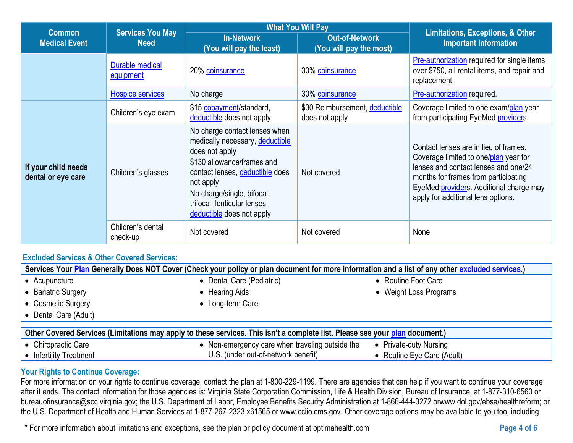| <b>Common</b>                             | <b>Services You May</b><br><b>Need</b> | <b>What You Will Pay</b>                                                                                                                                                                                                                                    | <b>Limitations, Exceptions, &amp; Other</b>      |                                                                                                                                                                                                                                                 |
|-------------------------------------------|----------------------------------------|-------------------------------------------------------------------------------------------------------------------------------------------------------------------------------------------------------------------------------------------------------------|--------------------------------------------------|-------------------------------------------------------------------------------------------------------------------------------------------------------------------------------------------------------------------------------------------------|
| <b>Medical Event</b>                      |                                        | <b>In-Network</b><br>(You will pay the least)                                                                                                                                                                                                               | <b>Out-of-Network</b><br>(You will pay the most) | <b>Important Information</b>                                                                                                                                                                                                                    |
|                                           | Durable medical<br>equipment           | 20% coinsurance                                                                                                                                                                                                                                             | 30% coinsurance                                  | <b>Pre-authorization required for single items</b><br>over \$750, all rental items, and repair and<br>replacement.                                                                                                                              |
|                                           | <b>Hospice services</b>                | No charge                                                                                                                                                                                                                                                   | 30% coinsurance                                  | Pre-authorization required.                                                                                                                                                                                                                     |
| If your child needs<br>dental or eye care | Children's eye exam                    | \$15 copayment/standard,<br>deductible does not apply                                                                                                                                                                                                       | \$30 Reimbursement, deductible<br>does not apply | Coverage limited to one exam/plan year<br>from participating EyeMed providers.                                                                                                                                                                  |
|                                           | Children's glasses                     | No charge contact lenses when<br>medically necessary, deductible<br>does not apply<br>\$130 allowance/frames and<br>contact lenses, deductible does<br>not apply<br>No charge/single, bifocal,<br>trifocal, lenticular lenses,<br>deductible does not apply | Not covered                                      | Contact lenses are in lieu of frames.<br>Coverage limited to one/plan year for<br>lenses and contact lenses and one/24<br>months for frames from participating<br>EyeMed providers. Additional charge may<br>apply for additional lens options. |
|                                           | Children's dental<br>check-up          | Not covered                                                                                                                                                                                                                                                 | Not covered                                      | None                                                                                                                                                                                                                                            |

#### **Excluded Services & Other Covered Services:**

| Services Your Plan Generally Does NOT Cover (Check your policy or plan document for more information and a list of any other excluded services.) |                                               |                            |  |  |  |  |  |
|--------------------------------------------------------------------------------------------------------------------------------------------------|-----------------------------------------------|----------------------------|--|--|--|--|--|
| • Acupuncture                                                                                                                                    | • Dental Care (Pediatric)                     | • Routine Foot Care        |  |  |  |  |  |
| • Bariatric Surgery                                                                                                                              | • Hearing Aids                                | • Weight Loss Programs     |  |  |  |  |  |
| Cosmetic Surgery                                                                                                                                 | • Long-term Care                              |                            |  |  |  |  |  |
| • Dental Care (Adult)                                                                                                                            |                                               |                            |  |  |  |  |  |
| Other Covered Services (Limitations may apply to these services. This isn't a complete list. Please see your plan document.)                     |                                               |                            |  |  |  |  |  |
| • Chiropractic Care                                                                                                                              | Non-emergency care when traveling outside the | • Private-duty Nursing     |  |  |  |  |  |
| • Infertility Treatment                                                                                                                          | U.S. (under out-of-network benefit)           | • Routine Eye Care (Adult) |  |  |  |  |  |

#### **Your Rights to Continue Coverage:**

For more information on your rights to continue coverage, contact the plan at 1-800-229-1199. There are agencies that can help if you want to continue your coverage after it ends. The contact information for those agencies is: Virginia State Corporation Commission, Life & Health Division, Bureau of Insurance, at 1-877-310-6560 or bureauofinsurance@scc.virginia.gov; the U.S. Department of Labor, Employee Benefits Security Administration at 1-866-444-3272 orwww.dol.gov/ebsa/healthreform; or the U.S. Department of Health and Human Services at 1-877-267-2323 x61565 or www.cciio.cms.gov. Other coverage options may be available to you too, including

\* For more information about limitations and exceptions, see the plan or policy document at optimahealth.com **Page 4 of 6**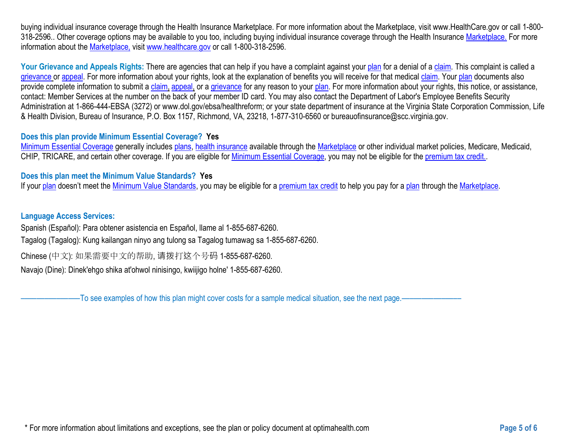buying individual insurance coverage through the Health Insurance Marketplace. For more information about the Marketplace, visit www.HealthCare.gov or call 1-800- 318-2596. Other coverage options may be available to you too, including buying individual insurance coverage through the Health Insurance [Marketplace.](https://www.healthcare.gov/sbc-glossary/#plan) For more information about the [Marketplace,](https://www.healthcare.gov/sbc-glossary/#Market%20place) visit [www.healthcare.gov](https://www.healthcare.gov/sbc-glossary/#plan) or call 1-800-318-2596.

Your Grievance and Appeals Rights: There are agencies that can help if you have a complaint against your [plan](https://www.healthcare.gov/sbc-glossary/#plan) for a denial of a [claim.](https://www.healthcare.gov/sbc-glossary/#claim) This complaint is called a [grievance](https://www.healthcare.gov/sbc-glossary/#grievance) or [appeal.](https://www.healthcare.gov/sbc-glossary/#appeal) For more information about your rights, look at the explanation of benefits you will receive for that medical [claim.](https://www.healthcare.gov/sbc-glossary/#claim) Your [plan](https://www.healthcare.gov/sbc-glossary/#plan) documents also provide complete information to submit a [claim,](https://www.healthcare.gov/sbc-glossary/#claim) [appeal,](https://www.healthcare.gov/sbc-glossary/#appeal) or a [grievance](https://www.healthcare.gov/sbc-glossary/#grievance) for any reason to your [plan.](https://www.healthcare.gov/sbc-glossary/#plan) For more information about your rights, this notice, or assistance, contact: Member Services at the number on the back of your member ID card. You may also contact the Department of Labor's Employee Benefits Security Administration at 1-866-444-EBSA (3272) or www.dol.gov/ebsa/healthreform; or your state department of insurance at the Virginia State Corporation Commission, Life & Health Division, Bureau of Insurance, P.O. Box 1157, Richmond, VA, 23218, 1-877-310-6560 or bureauofinsurance@scc.virginia.gov.

#### **Does this plan provide Minimum Essential Coverage? Yes**

[Minimum Essential Coverage](https://www.healthcare.gov/sbc-glossary/#minimum-essential-coverage) generally includes [plans,](https://www.healthcare.gov/sbc-glossary/#plan) [health insurance](https://www.healthcare.gov/sbc-glossary/#health-insurance) available through the [Marketplace](https://www.healthcare.gov/sbc-glossary/#marketplace) or other individual market policies, Medicare, Medicaid, CHIP, TRICARE, and certain other coverage. If you are eligible for [Minimum Essential Coverage,](https://www.healthcare.gov/sbc-glossary/#minimum-essential-coverage) you may not be eligible for the [premium tax credit..](https://www.healthcare.gov/sbc-glossary/#premium-tax-credits)

#### **Does this plan meet the Minimum Value Standards? Yes**

If your [plan](https://www.healthcare.gov/sbc-glossary/#plan) doesn't meet the [Minimum Value Standards,](https://www.healthcare.gov/sbc-glossary/#minimum-value-standard) you may be eligible for a [premium tax credit](https://www.healthcare.gov/sbc-glossary/#premium-tax-credits) to help you pay for a plan through the [Marketplace.](https://www.healthcare.gov/sbc-glossary/#marketplace)

#### **Language Access Services:**

Spanish (Español): Para obtener asistencia en Español, llame al 1-855-687-6260.

Tagalog (Tagalog): Kung kailangan ninyo ang tulong sa Tagalog tumawag sa 1-855-687-6260.

Chinese (中文): 如果需要中文的帮助, 请拨打这个号码 1-855-687-6260.

Navajo (Dine): Dinek'ehgo shika at'ohwol ninisingo, kwiijigo holne' 1-855-687-6260.

–To see examples of how this plan might cover costs for a sample medical situation, see the next page.–